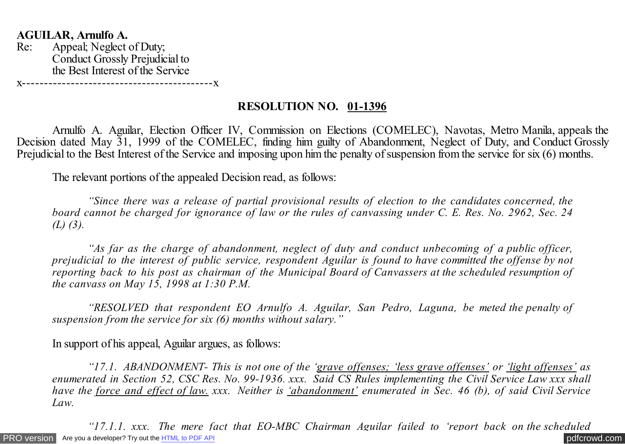**AGUILAR, Arnulfo A.** Re: Appeal; Neglect of Duty; Conduct Grossly Prejudicial to the Best Interest of the Service x-------------------------------------------x

## **RESOLUTION NO. 01-1396**

Arnulfo A. Aguilar, Election Officer IV, Commission on Elections (COMELEC), Navotas, Metro Manila, appeals the Decision dated May 31, 1999 of the COMELEC, finding him guilty of Abandonment, Neglect of Duty, and Conduct Grossly Prejudicial to the Best Interest of the Service and imposing upon him the penalty of suspension from the service for six (6) months.

The relevant portions of the appealed Decision read, as follows:

*"Since there was a release of partial provisional results of election to the candidates concerned, the board cannot be charged for ignorance of law or the rules of canvassing under C. E. Res. No. 2962, Sec. 24 (L) (3).*

*"As far as the charge of abandonment, neglect of duty and conduct unbecoming of a public officer, prejudicial to the interest of public service, respondent Aguilar is found to have committed the offense by not reporting back to his post as chairman of the Municipal Board of Canvassers at the scheduled resumption of the canvass on May 15, 1998 at 1:30 P.M.*

*"RESOLVED that respondent EO Arnulfo A. Aguilar, San Pedro, Laguna, be meted the penalty of suspension from the service for six (6) months without salary."*

In support of his appeal, Aguilar argues, as follows:

*"17.1. ABANDONMENT- This is not one of the 'grave offenses; 'less grave offenses' or 'light offenses' as enumerated in Section 52, CSC Res. No. 99-1936. xxx. Said CS Rules implementing the Civil Service Law xxx shall have the force and effect of law. xxx. Neither is 'abandonment' enumerated in Sec. 46 (b), of said Civil Service Law.*

[PRO version](http://pdfcrowd.com/customize/) Are you a developer? Try out th[e HTML to PDF API](http://pdfcrowd.com/html-to-pdf-api/?ref=pdf) provided and the example of the HTML to PDF API [pdfcrowd.com](http://pdfcrowd.com) *"17.1.1. xxx. The mere fact that EO-MBC Chairman Aguilar failed to 'report back on the scheduled*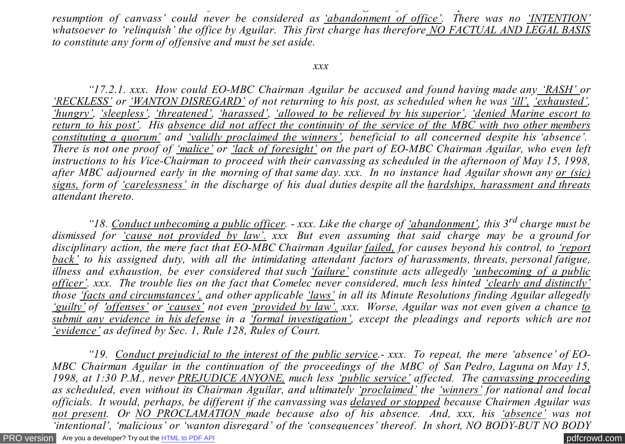*"17.1.1. xxx. The mere fact that EO-MBC Chairman Aguilar failed to 'report back on the scheduled resumption of canvass' could never be considered as 'abandonment of office'. There was no 'INTENTION' whatsoever to 'relinquish' the office by Aguilar. This first charge has therefore NO FACTUAL AND LEGAL BASIS to constitute any form of offensive and must be set aside.*

## *xxx*

*"17.2.1. xxx. How could EO-MBC Chairman Aguilar be accused and found having made any 'RASH' or 'RECKLESS' or 'WANTON DISREGARD' of not returning to his post, as scheduled when he was 'ill', 'exhausted', 'hungry', 'sleepless', 'threatened', 'harassed', 'allowed to be relieved by his superior', 'denied Marine escort to return to his post'. His absence did not affect the continuity of the service of the MBC with two other members constituting a quorum' and 'validly proclaimed the winners', beneficial to all concerned despite his 'absence'. There is not one proof of 'malice' or 'lack of foresight' on the part of EO-MBC Chairman Aguilar, who even left instructions to his Vice-Chairman to proceed with their canvassing as scheduled in the afternoon of May 15, 1998, after MBC adjourned early in the morning of that same day. xxx. In no instance had Aguilar shown any or (sic) signs, form of 'carelessness' in the discharge of his dual duties despite all the hardships, harassment and threats attendant thereto.*

*"18. Conduct unbecoming a public officer. - xxx. Like the charge of 'abandonment', this 3rd charge must be dismissed for 'cause not provided by law'. xxx But even assuming that said charge may be a ground for disciplinary action, the mere fact that EO-MBC Chairman Aguilar failed, for causes beyond his control, to 'report back' to his assigned duty, with all the intimidating attendant factors of harassments, threats, personal fatigue, illness and exhaustion, be ever considered that such 'failure' constitute acts allegedly 'unbecoming of a public officer'. xxx. The trouble lies on the fact that Comelec never considered, much less hinted 'clearly and distinctly' those 'facts and circumstances', and other applicable 'laws' in all its Minute Resolutions finding Aguilar allegedly 'guilty' of 'offenses' or 'causes' not even 'provided by law'. xxx. Worse, Aguilar was not even given a chance to submit any evidence in his defense in a 'formal investigation', except the pleadings and reports which are not 'evidence' as defined by Sec. 1, Rule 128, Rules of Court.*

[PRO version](http://pdfcrowd.com/customize/) Are you a developer? Try out th[e HTML to PDF API](http://pdfcrowd.com/html-to-pdf-api/?ref=pdf) compared to the comparison of the HTML to PDF API *"19. Conduct prejudicial to the interest of the public service.- xxx. To repeat, the mere 'absence' of EO-MBC Chairman Aguilar in the continuation of the proceedings of the MBC of San Pedro, Laguna on May 15, 1998, at 1:30 P.M., never PREJUDICE ANYONE, much less 'public service' affected. The canvassing proceeding as scheduled, even without its Chairman Aguilar, and ultimately 'proclaimed' the 'winners' for national and local officials. It would, perhaps, be different if the canvassing was delayed or stopped because Chairmen Aguilar was not present. Or NO PROCLAMATION made because also of his absence. And, xxx, his 'absence' was not 'intentional', 'malicious' or 'wanton disregard' of the 'consequences' thereof. In short, NO BODY-BUT NO BODY*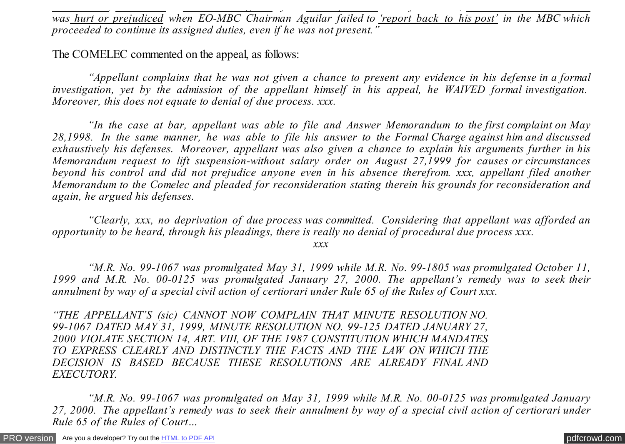*'intentional', 'malicious' or 'wanton disregard' of the 'consequences' thereof. In short, NO BODY-BUT NO BODY was hurt or prejudiced when EO-MBC Chairman Aguilar failed to 'report back to his post' in the MBC which proceeded to continue its assigned duties, even if he was not present."*

The COMELEC commented on the appeal, as follows:

*"Appellant complains that he was not given a chance to present any evidence in his defense in a formal investigation, yet by the admission of the appellant himself in his appeal, he WAIVED formal investigation. Moreover, this does not equate to denial of due process. xxx.*

*"In the case at bar, appellant was able to file and Answer Memorandum to the first complaint on May 28,1998. In the same manner, he was able to file his answer to the Formal Charge against him and discussed exhaustively his defenses. Moreover, appellant was also given a chance to explain his arguments further in his Memorandum request to lift suspension-without salary order on August 27,1999 for causes or circumstances beyond his control and did not prejudice anyone even in his absence therefrom. xxx, appellant filed another Memorandum to the Comelec and pleaded for reconsideration stating therein his grounds for reconsideration and again, he argued his defenses.*

*"Clearly, xxx, no deprivation of due process was committed. Considering that appellant was afforded an opportunity to be heard, through his pleadings, there is really no denial of procedural due process xxx.*

*xxx*

*"M.R. No. 99-1067 was promulgated May 31, 1999 while M.R. No. 99-1805 was promulgated October 11, 1999 and M.R. No. 00-0125 was promulgated January 27, 2000. The appellant's remedy was to seek their annulment by way of a special civil action of certiorari under Rule 65 of the Rules of Court xxx.*

*"THE APPELLANT'S (sic) CANNOT NOW COMPLAIN THAT MINUTE RESOLUTION NO. 99-1067 DATED MAY 31, 1999, MINUTE RESOLUTION NO. 99-125 DATED JANUARY 27, 2000 VIOLATE SECTION 14, ART. VIII, OF THE 1987 CONSTITUTION WHICH MANDATES TO EXPRESS CLEARLY AND DISTINCTLY THE FACTS AND THE LAW ON WHICH THE DECISION IS BASED BECAUSE THESE RESOLUTIONS ARE ALREADY FINAL AND EXECUTORY.*

*"M.R. No. 99-1067 was promulgated on May 31, 1999 while M.R. No. 00-0125 was promulgated January 27, 2000. The appellant's remedy was to seek their annulment by way of a special civil action of certiorari under Rule 65 of the Rules of Court…*

[PRO version](http://pdfcrowd.com/customize/) Are you a developer? Try out th[e HTML to PDF API](http://pdfcrowd.com/html-to-pdf-api/?ref=pdf) [pdfcrowd.com](http://pdfcrowd.com)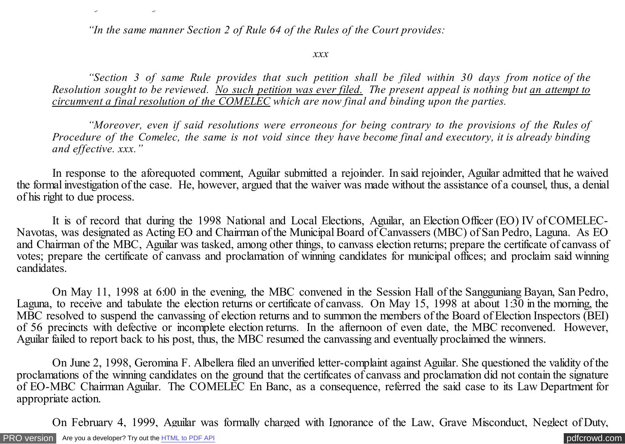*"In the same manner Section 2 of Rule 64 of the Rules of the Court provides:*

*xxx*

*"Section 3 of same Rule provides that such petition shall be filed within 30 days from notice of the Resolution sought to be reviewed. No such petition was ever filed. The present appeal is nothing but an attempt to circumvent a final resolution of the COMELEC which are now final and binding upon the parties.*

*"Moreover, even if said resolutions were erroneous for being contrary to the provisions of the Rules of Procedure of the Comelec, the same is not void since they have become final and executory, it is already binding and effective. xxx."*

In response to the aforequoted comment, Aguilar submitted a rejoinder. In said rejoinder, Aguilar admitted that he waived the formal investigation of the case. He, however, argued that the waiver was made without the assistance of a counsel, thus, a denial of his right to due process.

It is of record that during the 1998 National and Local Elections, Aguilar, an Election Officer (EO) IV of COMELEC-Navotas, was designated as Acting EO and Chairman of the Municipal Board of Canvassers (MBC) of San Pedro, Laguna. As EO and Chairman of the MBC, Aguilar was tasked, among other things, to canvass election returns; prepare the certificate of canvass of votes; prepare the certificate of canvass and proclamation of winning candidates for municipal offices; and proclaim said winning candidates.

On May 11, 1998 at 6:00 in the evening, the MBC convened in the Session Hall of the Sangguniang Bayan, San Pedro, Laguna, to receive and tabulate the election returns or certificate of canvass. On May 15, 1998 at about 1:30 in the morning, the MBC resolved to suspend the canvassing of election returns and to summon the members of the Board of Election Inspectors (BEI) of 56 precincts with defective or incomplete election returns. In the afternoon of even date, the MBC reconvened. However, Aguilar failed to report back to his post, thus, the MBC resumed the canvassing and eventually proclaimed the winners.

On June 2, 1998, Geromina F. Albellera filed an unverified letter-complaint against Aguilar. She questioned the validity of the proclamations of the winning candidates on the ground that the certificates of canvass and proclamation did not contain the signature of EO-MBC Chairman Aguilar. The COMELEC En Banc, as a consequence, referred the said case to its Law Department for appropriate action.

On February 4, 1999, Aguilar was formally charged with Ignorance of the Law, Grave Misconduct, Neglect of Duty,

*Rule 65 of the Rules of Court…*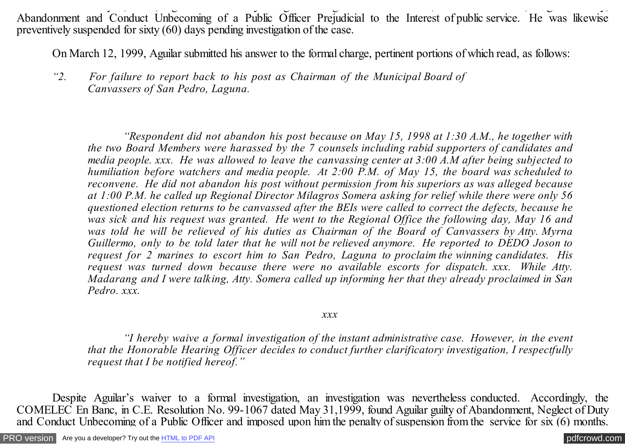On February 4, 1999, Aguilar was formally charged with Ignorance of the Law, Grave Misconduct, Neglect of Duty, Abandonment and Conduct Unbecoming of a Public Officer Prejudicial to the Interest of public service. He was likewise preventively suspended for sixty (60) days pending investigation of the case.

On March 12, 1999, Aguilar submitted his answer to the formal charge, pertinent portions of which read, as follows:

*"2. For failure to report back to his post as Chairman of the Municipal Board of Canvassers of San Pedro, Laguna.*

*"Respondent did not abandon his post because on May 15, 1998 at 1:30 A.M., he together with the two Board Members were harassed by the 7 counsels including rabid supporters of candidates and media people. xxx. He was allowed to leave the canvassing center at 3:00 A.M after being subjected to humiliation before watchers and media people. At 2:00 P.M. of May 15, the board was scheduled to reconvene. He did not abandon his post without permission from his superiors as was alleged because at 1:00 P.M. he called up Regional Director Milagros Somera asking for relief while there were only 56 questioned election returns to be canvassed after the BEIs were called to correct the defects, because he was sick and his request was granted. He went to the Regional Office the following day, May 16 and was told he will be relieved of his duties as Chairman of the Board of Canvassers by Atty. Myrna Guillermo, only to be told later that he will not be relieved anymore. He reported to DEDO Joson to request for 2 marines to escort him to San Pedro, Laguna to proclaim the winning candidates. His request was turned down because there were no available escorts for dispatch. xxx. While Atty. Madarang and I were talking, Atty. Somera called up informing her that they already proclaimed in San Pedro. xxx.*

*xxx*

*"I hereby waive a formal investigation of the instant administrative case. However, in the event that the Honorable Hearing Officer decides to conduct further clarificatory investigation, I respectfully request that I be notified hereof."*

Despite Aguilar's waiver to a formal investigation, an investigation was nevertheless conducted. Accordingly, the COMELEC En Banc, in C.E. Resolution No. 99-1067 dated May 31,1999, found Aguilar guilty of Abandonment, Neglect of Duty and Conduct Unbecoming of a Public Officer and imposed upon him the penalty of suspension from the service for six (6) months.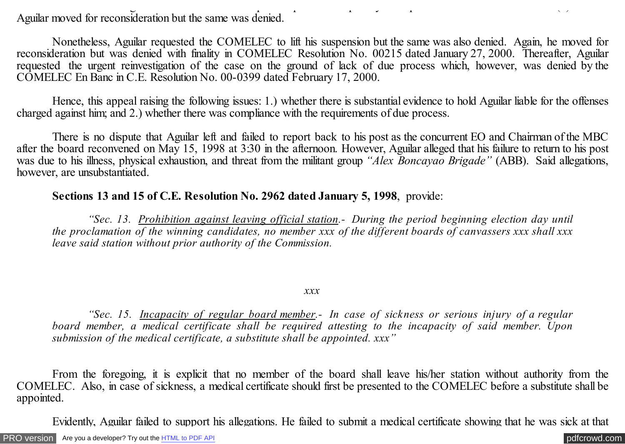and  $C$  Public Officer and imposed upon him the penalty of suspension from the service for six (6) months. The service for six (6) months in the service for six (6) months. The service for six (6) months. The service for Aguilar moved for reconsideration but the same was denied.

Nonetheless, Aguilar requested the COMELEC to lift his suspension but the same was also denied. Again, he moved for reconsideration but was denied with finality in COMELEC Resolution No. 00215 dated January 27, 2000. Thereafter, Aguilar requested the urgent reinvestigation of the case on the ground of lack of due process which, however, was denied by the COMELEC En Banc in C.E. Resolution No. 00-0399 dated February 17, 2000.

Hence, this appeal raising the following issues: 1.) whether there is substantial evidence to hold Aguilar liable for the offenses charged against him; and 2.) whether there was compliance with the requirements of due process.

There is no dispute that Aguilar left and failed to report back to his post as the concurrent EO and Chairman of the MBC after the board reconvened on May 15, 1998 at 3:30 in the afternoon. However, Aguilar alleged that his failure to return to his post was due to his illness, physical exhaustion, and threat from the militant group *"Alex Boncayao Brigade"* (ABB). Said allegations, however, are unsubstantiated.

## **Sections 13 and 15 of C.E. Resolution No. 2962 dated January 5, 1998**, provide:

*"Sec. 13. Prohibition against leaving official station.- During the period beginning election day until the proclamation of the winning candidates, no member xxx of the different boards of canvassers xxx shall xxx leave said station without prior authority of the Commission.*

*xxx*

*"Sec. 15. Incapacity of regular board member.- In case of sickness or serious injury of a regular board member, a medical certificate shall be required attesting to the incapacity of said member. Upon submission of the medical certificate, a substitute shall be appointed. xxx"*

From the foregoing, it is explicit that no member of the board shall leave his/her station without authority from the COMELEC. Also, in case of sickness, a medical certificate should first be presented to the COMELEC before a substitute shall be appointed.

Evidently, Aguilar failed to support his allegations. He failed to submit a medical certificate showing that he was sick at that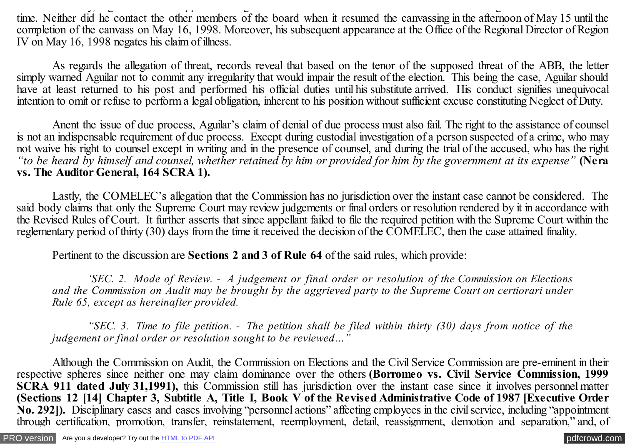$\mathcal{L}_{\mathcal{A}}$  failed to support his allegations. He failed to submit a medical certificate showing that he was since  $\mathcal{A}$ time. Neither did he contact the other members of the board when it resumed the canvassing in the afternoon of May 15 until the completion of the canvass on May 16, 1998. Moreover, his subsequent appearance at the Office of the Regional Director of Region IV on May 16, 1998 negates his claim of illness.

As regards the allegation of threat, records reveal that based on the tenor of the supposed threat of the ABB, the letter simply warned Aguilar not to commit any irregularity that would impair the result of the election. This being the case, Aguilar should have at least returned to his post and performed his official duties until his substitute arrived. His conduct signifies unequivocal intention to omit or refuse to perform a legal obligation, inherent to his position without sufficient excuse constituting Neglect of Duty.

Anent the issue of due process, Aguilar's claim of denial of due process must also fail. The right to the assistance of counsel is not an indispensable requirement of due process. Except during custodial investigation of a person suspected of a crime, who may not waive his right to counsel except in writing and in the presence of counsel, and during the trial of the accused, who has the right *"to be heard by himself and counsel, whether retained by him or provided for him by the government at its expense"* **(Nera vs. The Auditor General, 164 SCRA 1).**

Lastly, the COMELEC's allegation that the Commission has no jurisdiction over the instant case cannot be considered. The said body claims that only the Supreme Court may review judgements or final orders or resolution rendered by it in accordance with the Revised Rules of Court. It further asserts that since appellant failed to file the required petition with the Supreme Court within the reglementary period of thirty (30) days from the time it received the decision of the COMELEC, then the case attained finality.

Pertinent to the discussion are **Sections 2 and 3 of Rule 64** of the said rules, which provide:

*'SEC. 2. Mode of Review. - A judgement or final order or resolution of the Commission on Elections and the Commission on Audit may be brought by the aggrieved party to the Supreme Court on certiorari under Rule 65, except as hereinafter provided.*

*"SEC. 3. Time to file petition. - The petition shall be filed within thirty (30) days from notice of the judgement or final order or resolution sought to be reviewed…"*

Although the Commission on Audit, the Commission on Elections and the Civil Service Commission are pre-eminent in their respective spheres since neither one may claim dominance over the others **(Borromeo vs. Civil Service Commission, 1999 SCRA 911 dated July 31,1991),** this Commission still has jurisdiction over the instant case since it involves personnel matter **(Sections 12 [14] Chapter 3, Subtitle A, Title I, Book V of the Revised Administrative Code of 1987 [Executive Order No. 292]).** Disciplinary cases and cases involving "personnel actions" affecting employees in the civil service, including "appointment through certification, promotion, transfer, reinstatement, reemployment, detail, reassignment, demotion and separation," and, of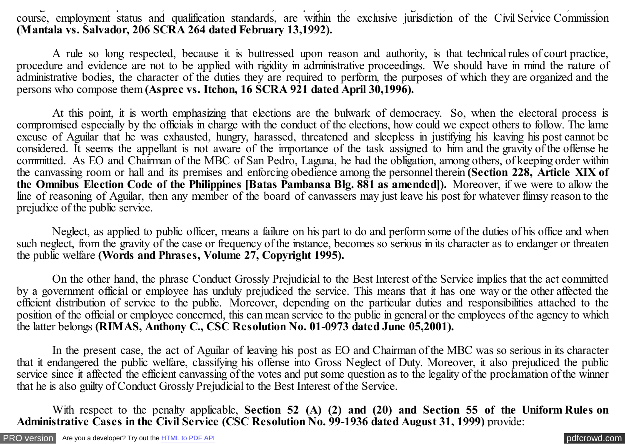through certification, promotion, transfer, reinstatement, reemployment, detail, reassignment, demotion and separation," and, of course, employment status and qualification standards, are within the exclusive jurisdiction of the Civil Service Commission **(Mantala vs. Salvador, 206 SCRA 264 dated February 13,1992).**

A rule so long respected, because it is buttressed upon reason and authority, is that technical rules of court practice, procedure and evidence are not to be applied with rigidity in administrative proceedings. We should have in mind the nature of administrative bodies, the character of the duties they are required to perform, the purposes of which they are organized and the persons who compose them **(Asprec vs. Itchon, 16 SCRA 921 dated April 30,1996).**

At this point, it is worth emphasizing that elections are the bulwark of democracy. So, when the electoral process is compromised especially by the officials in charge with the conduct of the elections, how could we expect others to follow. The lame excuse of Aguilar that he was exhausted, hungry, harassed, threatened and sleepless in justifying his leaving his post cannot be considered. It seems the appellant is not aware of the importance of the task assigned to him and the gravity of the offense he committed. As EO and Chairman of the MBC of San Pedro, Laguna, he had the obligation, among others, of keeping order within the canvassing room or hall and its premises and enforcing obedience among the personnel therein **(Section 228, Article XIX of the Omnibus Election Code of the Philippines [Batas Pambansa Blg. 881 as amended]).** Moreover, if we were to allow the line of reasoning of Aguilar, then any member of the board of canvassers may just leave his post for whatever flimsy reason to the prejudice of the public service.

Neglect, as applied to public officer, means a failure on his part to do and perform some of the duties of his office and when such neglect, from the gravity of the case or frequency of the instance, becomes so serious in its character as to endanger or threaten the public welfare **(Words and Phrases, Volume 27, Copyright 1995).**

On the other hand, the phrase Conduct Grossly Prejudicial to the Best Interest of the Service implies that the act committed by a government official or employee has unduly prejudiced the service. This means that it has one way or the other affected the efficient distribution of service to the public. Moreover, depending on the particular duties and responsibilities attached to the position of the official or employee concerned, this can mean service to the public in general or the employees of the agency to which the latter belongs **(RIMAS, Anthony C., CSC Resolution No. 01-0973 dated June 05,2001).**

In the present case, the act of Aguilar of leaving his post as EO and Chairman of the MBC was so serious in its character that it endangered the public welfare, classifying his offense into Gross Neglect of Duty. Moreover, it also prejudiced the public service since it affected the efficient canvassing of the votes and put some question as to the legality of the proclamation of the winner that he is also guilty of Conduct Grossly Prejudicial to the Best Interest of the Service.

With respect to the penalty applicable, **Section 52 (A) (2) and (20) and Section 55 of the Uniform Rules on Administrative Cases in the Civil Service (CSC Resolution No. 99-1936 dated August 31, 1999)** provide: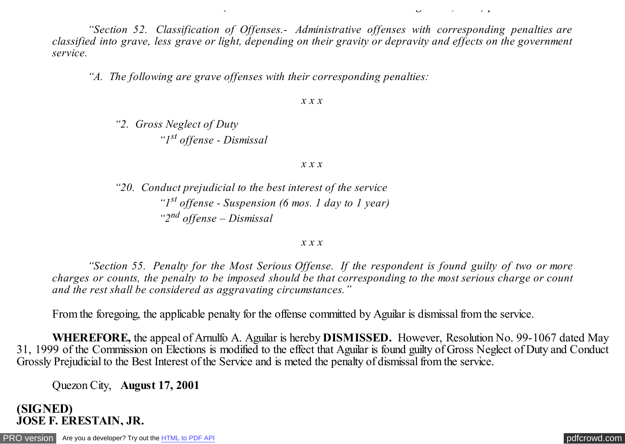*"Section 52. Classification of Offenses.- Administrative offenses with corresponding penalties are classified into grave, less grave or light, depending on their gravity or depravity and effects on the government service.*

*"A. The following are grave offenses with their corresponding penalties:*

**Administrative Cases in the Civil Service (CSC Resolution No. 99-1936 dated August 31, 1999)** provide:

*x x x*

*"2. Gross Neglect of Duty "1st offense - Dismissal*

*x x x*

*"20. Conduct prejudicial to the best interest of the service "1st offense - Suspension (6 mos. 1 day to 1 year) "2nd offense – Dismissal*

*x x x*

*"Section 55. Penalty for the Most Serious Offense. If the respondent is found guilty of two or more charges or counts, the penalty to be imposed should be that corresponding to the most serious charge or count and the rest shall be considered as aggravating circumstances."*

From the foregoing, the applicable penalty for the offense committed by Aguilar is dismissal from the service.

**WHEREFORE,** the appeal of Arnulfo A. Aguilar is hereby **DISMISSED.** However, Resolution No. 99-1067 dated May 31, 1999 of the Commission on Elections is modified to the effect that Aguilar is found guilty of Gross Neglect of Duty and Conduct Grossly Prejudicial to the Best Interest of the Service and is meted the penalty of dismissal from the service.

Quezon City, **August 17, 2001**

**(SIGNED) JOSE F. ERESTAIN, JR.**

[PRO version](http://pdfcrowd.com/customize/) Are you a developer? Try out th[e HTML to PDF API](http://pdfcrowd.com/html-to-pdf-api/?ref=pdf) contract the contract of the HTML to PDF API [pdfcrowd.com](http://pdfcrowd.com)